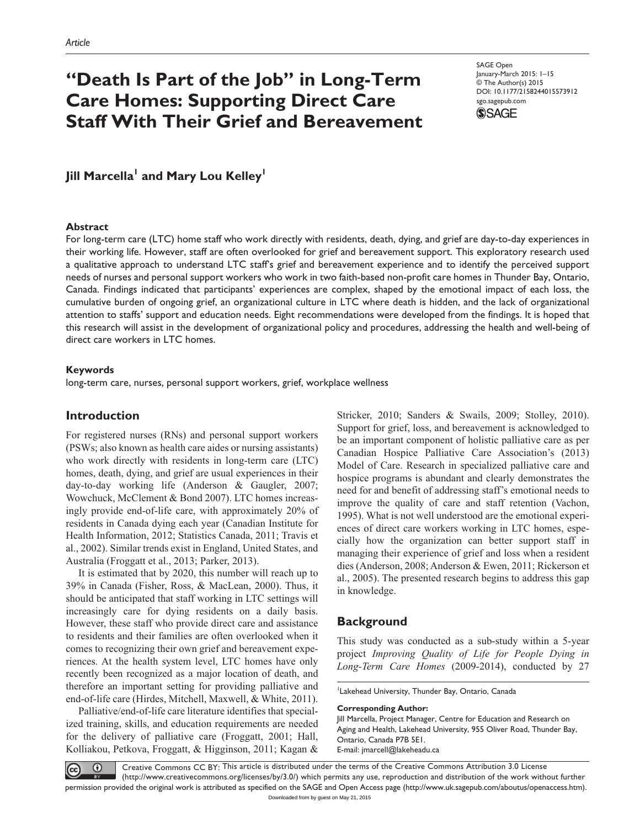# **"Death Is Part of the Job" in Long-Term Care Homes: Supporting Direct Care Staff With Their Grief and Bereavement**

SAGE Open January-March 2015: 1–15 © The Author(s) 2015 DOI: 10.1177/2158244015573912 sgo.sagepub.com



Jill Marcella<sup>l</sup> and Mary Lou Kelley<sup>l</sup>

### **Abstract**

For long-term care (LTC) home staff who work directly with residents, death, dying, and grief are day-to-day experiences in their working life. However, staff are often overlooked for grief and bereavement support. This exploratory research used a qualitative approach to understand LTC staff's grief and bereavement experience and to identify the perceived support needs of nurses and personal support workers who work in two faith-based non-profit care homes in Thunder Bay, Ontario, Canada. Findings indicated that participants' experiences are complex, shaped by the emotional impact of each loss, the cumulative burden of ongoing grief, an organizational culture in LTC where death is hidden, and the lack of organizational attention to staffs' support and education needs. Eight recommendations were developed from the findings. It is hoped that this research will assist in the development of organizational policy and procedures, addressing the health and well-being of direct care workers in LTC homes.

### **Keywords**

long-term care, nurses, personal support workers, grief, workplace wellness

# **Introduction**

For registered nurses (RNs) and personal support workers (PSWs; also known as health care aides or nursing assistants) who work directly with residents in long-term care (LTC) homes, death, dying, and grief are usual experiences in their day-to-day working life (Anderson & Gaugler, 2007; Wowchuck, McClement & Bond 2007). LTC homes increasingly provide end-of-life care, with approximately 20% of residents in Canada dying each year (Canadian Institute for Health Information, 2012; Statistics Canada, 2011; Travis et al., 2002). Similar trends exist in England, United States, and Australia (Froggatt et al., 2013; Parker, 2013).

It is estimated that by 2020, this number will reach up to 39% in Canada (Fisher, Ross, & MacLean, 2000). Thus, it should be anticipated that staff working in LTC settings will increasingly care for dying residents on a daily basis. However, these staff who provide direct care and assistance to residents and their families are often overlooked when it comes to recognizing their own grief and bereavement experiences. At the health system level, LTC homes have only recently been recognized as a major location of death, and therefore an important setting for providing palliative and end-of-life care (Hirdes, Mitchell, Maxwell, & White, 2011).

Palliative/end-of-life care literature identifies that specialized training, skills, and education requirements are needed for the delivery of palliative care (Froggatt, 2001; Hall, Kolliakou, Petkova, Froggatt, & Higginson, 2011; Kagan &

Stricker, 2010; Sanders & Swails, 2009; Stolley, 2010). Support for grief, loss, and bereavement is acknowledged to be an important component of holistic palliative care as per Canadian Hospice Palliative Care Association's (2013) Model of Care. Research in specialized palliative care and hospice programs is abundant and clearly demonstrates the need for and benefit of addressing staff's emotional needs to improve the quality of care and staff retention (Vachon, 1995). What is not well understood are the emotional experiences of direct care workers working in LTC homes, especially how the organization can better support staff in managing their experience of grief and loss when a resident dies (Anderson, 2008; Anderson & Ewen, 2011; Rickerson et al., 2005). The presented research begins to address this gap in knowledge.

# **Background**

This study was conducted as a sub-study within a 5-year project *Improving Quality of Life for People Dying in Long-Term Care Homes* (2009-2014), conducted by 27

<sup>1</sup> Lakehead University, Thunder Bay, Ontario, Canada

#### **Corresponding Author:**

Jill Marcella, Project Manager, Centre for Education and Research on Aging and Health, Lakehead University, 955 Oliver Road, Thunder Bay, Ontario, Canada P7B 5E1. E-mail: [jmarcell@lakeheadu.ca](mailto:jmarcell@lakeheadu.ca)

Creative Commons CC BY: This article is distributed under the terms of the Creative Commons Attribution 3.0 License  $\odot$ (cc) (http://www.creativecommons.org/licenses/by/3.0/) which permits any use, reproduction and distribution of the work without further permission provided the original work is attributed as specified on the SAGE and Open Access page (http://www.uk.sagepub.com/aboutus/openaccess.htm). Downloaded from by guest on May 21, 2015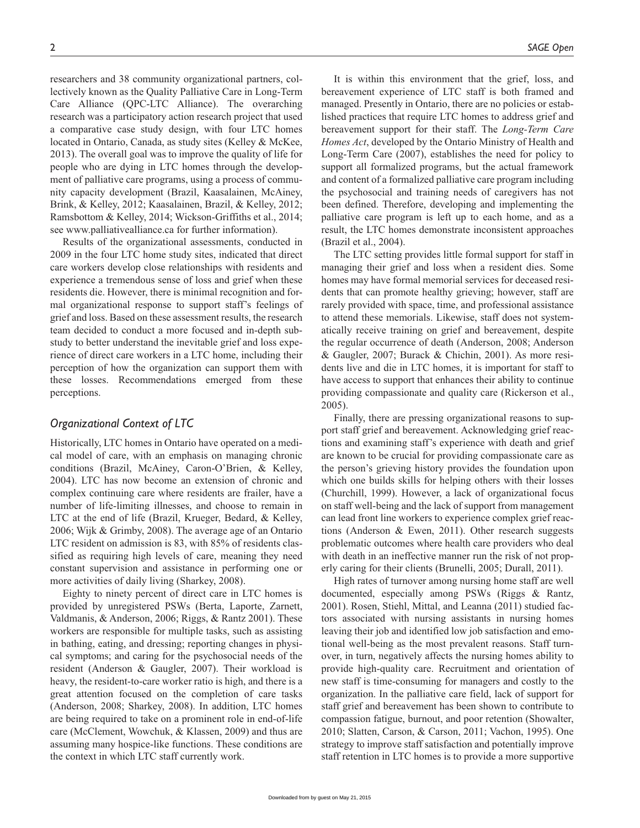researchers and 38 community organizational partners, collectively known as the Quality Palliative Care in Long-Term Care Alliance (QPC-LTC Alliance). The overarching research was a participatory action research project that used a comparative case study design, with four LTC homes located in Ontario, Canada, as study sites (Kelley & McKee, 2013). The overall goal was to improve the quality of life for people who are dying in LTC homes through the development of palliative care programs, using a process of community capacity development (Brazil, Kaasalainen, McAiney, Brink, & Kelley, 2012; Kaasalainen, Brazil, & Kelley, 2012; Ramsbottom & Kelley, 2014; Wickson-Griffiths et al., 2014; see<www.palliativealliance.ca> for further information).

Results of the organizational assessments, conducted in 2009 in the four LTC home study sites, indicated that direct care workers develop close relationships with residents and experience a tremendous sense of loss and grief when these residents die. However, there is minimal recognition and formal organizational response to support staff's feelings of grief and loss. Based on these assessment results, the research team decided to conduct a more focused and in-depth substudy to better understand the inevitable grief and loss experience of direct care workers in a LTC home, including their perception of how the organization can support them with these losses. Recommendations emerged from these perceptions.

#### *Organizational Context of LTC*

Historically, LTC homes in Ontario have operated on a medical model of care, with an emphasis on managing chronic conditions (Brazil, McAiney, Caron-O'Brien, & Kelley, 2004). LTC has now become an extension of chronic and complex continuing care where residents are frailer, have a number of life-limiting illnesses, and choose to remain in LTC at the end of life (Brazil, Krueger, Bedard, & Kelley, 2006; Wijk & Grimby, 2008). The average age of an Ontario LTC resident on admission is 83, with 85% of residents classified as requiring high levels of care, meaning they need constant supervision and assistance in performing one or more activities of daily living (Sharkey, 2008).

Eighty to ninety percent of direct care in LTC homes is provided by unregistered PSWs (Berta, Laporte, Zarnett, Valdmanis, & Anderson, 2006; Riggs, & Rantz 2001). These workers are responsible for multiple tasks, such as assisting in bathing, eating, and dressing; reporting changes in physical symptoms; and caring for the psychosocial needs of the resident (Anderson & Gaugler, 2007). Their workload is heavy, the resident-to-care worker ratio is high, and there is a great attention focused on the completion of care tasks (Anderson, 2008; Sharkey, 2008). In addition, LTC homes are being required to take on a prominent role in end-of-life care (McClement, Wowchuk, & Klassen, 2009) and thus are assuming many hospice-like functions. These conditions are the context in which LTC staff currently work.

It is within this environment that the grief, loss, and bereavement experience of LTC staff is both framed and managed. Presently in Ontario, there are no policies or established practices that require LTC homes to address grief and bereavement support for their staff. The *Long-Term Care Homes Act*, developed by the Ontario Ministry of Health and Long-Term Care (2007), establishes the need for policy to support all formalized programs, but the actual framework and content of a formalized palliative care program including the psychosocial and training needs of caregivers has not been defined. Therefore, developing and implementing the palliative care program is left up to each home, and as a result, the LTC homes demonstrate inconsistent approaches (Brazil et al., 2004).

The LTC setting provides little formal support for staff in managing their grief and loss when a resident dies. Some homes may have formal memorial services for deceased residents that can promote healthy grieving; however, staff are rarely provided with space, time, and professional assistance to attend these memorials. Likewise, staff does not systematically receive training on grief and bereavement, despite the regular occurrence of death (Anderson, 2008; Anderson & Gaugler, 2007; Burack & Chichin, 2001). As more residents live and die in LTC homes, it is important for staff to have access to support that enhances their ability to continue providing compassionate and quality care (Rickerson et al., 2005).

Finally, there are pressing organizational reasons to support staff grief and bereavement. Acknowledging grief reactions and examining staff's experience with death and grief are known to be crucial for providing compassionate care as the person's grieving history provides the foundation upon which one builds skills for helping others with their losses (Churchill, 1999). However, a lack of organizational focus on staff well-being and the lack of support from management can lead front line workers to experience complex grief reactions (Anderson & Ewen, 2011). Other research suggests problematic outcomes where health care providers who deal with death in an ineffective manner run the risk of not properly caring for their clients (Brunelli, 2005; Durall, 2011).

High rates of turnover among nursing home staff are well documented, especially among PSWs (Riggs & Rantz, 2001). Rosen, Stiehl, Mittal, and Leanna (2011) studied factors associated with nursing assistants in nursing homes leaving their job and identified low job satisfaction and emotional well-being as the most prevalent reasons. Staff turnover, in turn, negatively affects the nursing homes ability to provide high-quality care. Recruitment and orientation of new staff is time-consuming for managers and costly to the organization. In the palliative care field, lack of support for staff grief and bereavement has been shown to contribute to compassion fatigue, burnout, and poor retention (Showalter, 2010; Slatten, Carson, & Carson, 2011; Vachon, 1995). One strategy to improve staff satisfaction and potentially improve staff retention in LTC homes is to provide a more supportive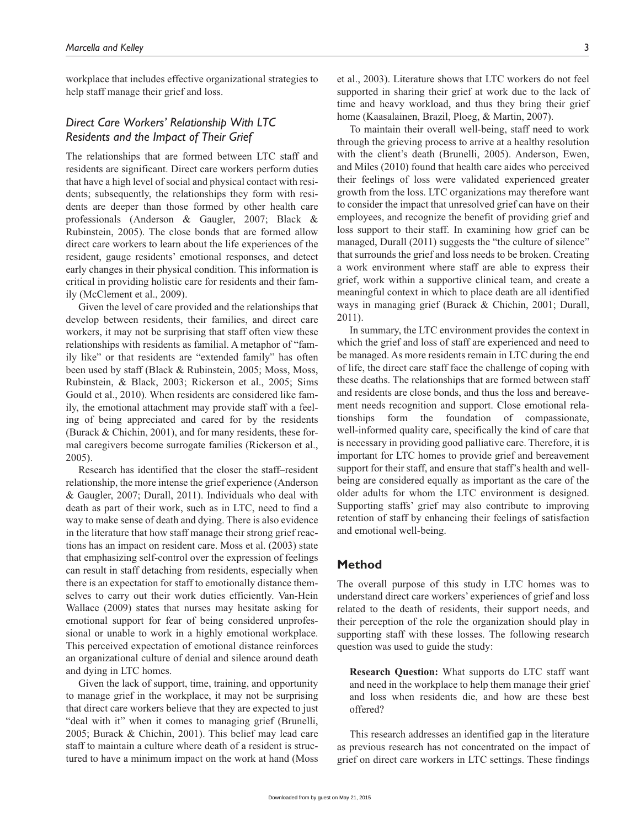workplace that includes effective organizational strategies to help staff manage their grief and loss.

# *Direct Care Workers' Relationship With LTC Residents and the Impact of Their Grief*

The relationships that are formed between LTC staff and residents are significant. Direct care workers perform duties that have a high level of social and physical contact with residents; subsequently, the relationships they form with residents are deeper than those formed by other health care professionals (Anderson & Gaugler, 2007; Black & Rubinstein, 2005). The close bonds that are formed allow direct care workers to learn about the life experiences of the resident, gauge residents' emotional responses, and detect early changes in their physical condition. This information is critical in providing holistic care for residents and their family (McClement et al., 2009).

Given the level of care provided and the relationships that develop between residents, their families, and direct care workers, it may not be surprising that staff often view these relationships with residents as familial. A metaphor of "family like" or that residents are "extended family" has often been used by staff (Black & Rubinstein, 2005; Moss, Moss, Rubinstein, & Black, 2003; Rickerson et al., 2005; Sims Gould et al., 2010). When residents are considered like family, the emotional attachment may provide staff with a feeling of being appreciated and cared for by the residents (Burack & Chichin, 2001), and for many residents, these formal caregivers become surrogate families (Rickerson et al., 2005).

Research has identified that the closer the staff–resident relationship, the more intense the grief experience (Anderson & Gaugler, 2007; Durall, 2011). Individuals who deal with death as part of their work, such as in LTC, need to find a way to make sense of death and dying. There is also evidence in the literature that how staff manage their strong grief reactions has an impact on resident care. Moss et al. (2003) state that emphasizing self-control over the expression of feelings can result in staff detaching from residents, especially when there is an expectation for staff to emotionally distance themselves to carry out their work duties efficiently. Van-Hein Wallace (2009) states that nurses may hesitate asking for emotional support for fear of being considered unprofessional or unable to work in a highly emotional workplace. This perceived expectation of emotional distance reinforces an organizational culture of denial and silence around death and dying in LTC homes.

Given the lack of support, time, training, and opportunity to manage grief in the workplace, it may not be surprising that direct care workers believe that they are expected to just "deal with it" when it comes to managing grief (Brunelli, 2005; Burack & Chichin, 2001). This belief may lead care staff to maintain a culture where death of a resident is structured to have a minimum impact on the work at hand (Moss

et al., 2003). Literature shows that LTC workers do not feel supported in sharing their grief at work due to the lack of time and heavy workload, and thus they bring their grief home (Kaasalainen, Brazil, Ploeg, & Martin, 2007).

To maintain their overall well-being, staff need to work through the grieving process to arrive at a healthy resolution with the client's death (Brunelli, 2005). Anderson, Ewen, and Miles (2010) found that health care aides who perceived their feelings of loss were validated experienced greater growth from the loss. LTC organizations may therefore want to consider the impact that unresolved grief can have on their employees, and recognize the benefit of providing grief and loss support to their staff. In examining how grief can be managed, Durall (2011) suggests the "the culture of silence" that surrounds the grief and loss needs to be broken. Creating a work environment where staff are able to express their grief, work within a supportive clinical team, and create a meaningful context in which to place death are all identified ways in managing grief (Burack & Chichin, 2001; Durall, 2011).

In summary, the LTC environment provides the context in which the grief and loss of staff are experienced and need to be managed. As more residents remain in LTC during the end of life, the direct care staff face the challenge of coping with these deaths. The relationships that are formed between staff and residents are close bonds, and thus the loss and bereavement needs recognition and support. Close emotional relationships form the foundation of compassionate, well-informed quality care, specifically the kind of care that is necessary in providing good palliative care. Therefore, it is important for LTC homes to provide grief and bereavement support for their staff, and ensure that staff's health and wellbeing are considered equally as important as the care of the older adults for whom the LTC environment is designed. Supporting staffs' grief may also contribute to improving retention of staff by enhancing their feelings of satisfaction and emotional well-being.

### **Method**

The overall purpose of this study in LTC homes was to understand direct care workers' experiences of grief and loss related to the death of residents, their support needs, and their perception of the role the organization should play in supporting staff with these losses. The following research question was used to guide the study:

**Research Question:** What supports do LTC staff want and need in the workplace to help them manage their grief and loss when residents die, and how are these best offered?

This research addresses an identified gap in the literature as previous research has not concentrated on the impact of grief on direct care workers in LTC settings. These findings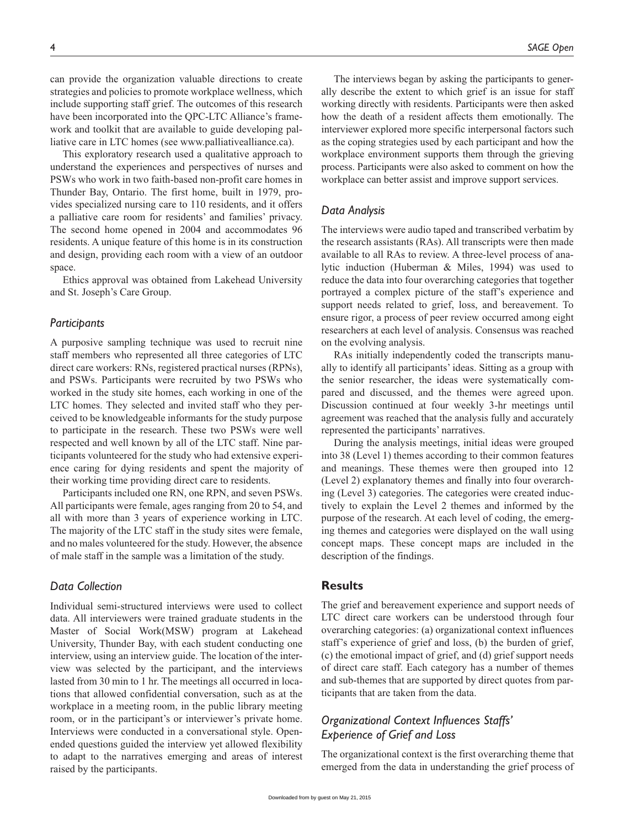can provide the organization valuable directions to create strategies and policies to promote workplace wellness, which include supporting staff grief. The outcomes of this research have been incorporated into the QPC-LTC Alliance's framework and toolkit that are available to guide developing palliative care in LTC homes (see [www.palliativealliance.ca\)](www.palliativealliance.ca).

This exploratory research used a qualitative approach to understand the experiences and perspectives of nurses and PSWs who work in two faith-based non-profit care homes in Thunder Bay, Ontario. The first home, built in 1979, provides specialized nursing care to 110 residents, and it offers a palliative care room for residents' and families' privacy. The second home opened in 2004 and accommodates 96 residents. A unique feature of this home is in its construction and design, providing each room with a view of an outdoor space.

Ethics approval was obtained from Lakehead University and St. Joseph's Care Group.

#### *Participants*

A purposive sampling technique was used to recruit nine staff members who represented all three categories of LTC direct care workers: RNs, registered practical nurses (RPNs), and PSWs. Participants were recruited by two PSWs who worked in the study site homes, each working in one of the LTC homes. They selected and invited staff who they perceived to be knowledgeable informants for the study purpose to participate in the research. These two PSWs were well respected and well known by all of the LTC staff. Nine participants volunteered for the study who had extensive experience caring for dying residents and spent the majority of their working time providing direct care to residents.

Participants included one RN, one RPN, and seven PSWs. All participants were female, ages ranging from 20 to 54, and all with more than 3 years of experience working in LTC. The majority of the LTC staff in the study sites were female, and no males volunteered for the study. However, the absence of male staff in the sample was a limitation of the study.

# *Data Collection*

Individual semi-structured interviews were used to collect data. All interviewers were trained graduate students in the Master of Social Work(MSW) program at Lakehead University, Thunder Bay, with each student conducting one interview, using an interview guide. The location of the interview was selected by the participant, and the interviews lasted from 30 min to 1 hr. The meetings all occurred in locations that allowed confidential conversation, such as at the workplace in a meeting room, in the public library meeting room, or in the participant's or interviewer's private home. Interviews were conducted in a conversational style. Openended questions guided the interview yet allowed flexibility to adapt to the narratives emerging and areas of interest raised by the participants.

The interviews began by asking the participants to generally describe the extent to which grief is an issue for staff working directly with residents. Participants were then asked how the death of a resident affects them emotionally. The interviewer explored more specific interpersonal factors such as the coping strategies used by each participant and how the workplace environment supports them through the grieving process. Participants were also asked to comment on how the workplace can better assist and improve support services.

#### *Data Analysis*

The interviews were audio taped and transcribed verbatim by the research assistants (RAs). All transcripts were then made available to all RAs to review. A three-level process of analytic induction (Huberman & Miles, 1994) was used to reduce the data into four overarching categories that together portrayed a complex picture of the staff's experience and support needs related to grief, loss, and bereavement. To ensure rigor, a process of peer review occurred among eight researchers at each level of analysis. Consensus was reached on the evolving analysis.

RAs initially independently coded the transcripts manually to identify all participants' ideas. Sitting as a group with the senior researcher, the ideas were systematically compared and discussed, and the themes were agreed upon. Discussion continued at four weekly 3-hr meetings until agreement was reached that the analysis fully and accurately represented the participants' narratives.

During the analysis meetings, initial ideas were grouped into 38 (Level 1) themes according to their common features and meanings. These themes were then grouped into 12 (Level 2) explanatory themes and finally into four overarching (Level 3) categories. The categories were created inductively to explain the Level 2 themes and informed by the purpose of the research. At each level of coding, the emerging themes and categories were displayed on the wall using concept maps. These concept maps are included in the description of the findings.

### **Results**

The grief and bereavement experience and support needs of LTC direct care workers can be understood through four overarching categories: (a) organizational context influences staff's experience of grief and loss, (b) the burden of grief, (c) the emotional impact of grief, and (d) grief support needs of direct care staff. Each category has a number of themes and sub-themes that are supported by direct quotes from participants that are taken from the data.

# *Organizational Context Influences Staffs' Experience of Grief and Loss*

The organizational context is the first overarching theme that emerged from the data in understanding the grief process of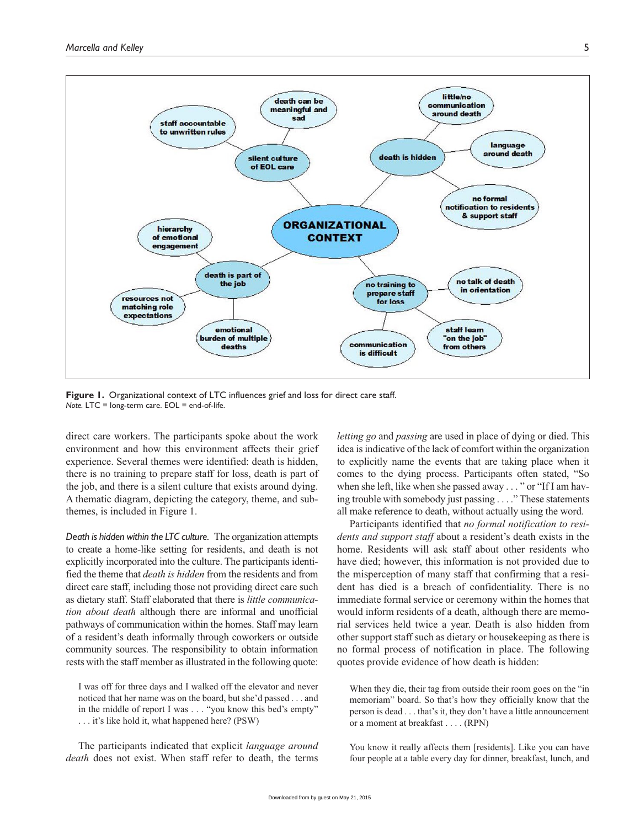

**Figure 1.** Organizational context of LTC influences grief and loss for direct care staff. *Note.* LTC = long-term care. EOL = end-of-life.

direct care workers. The participants spoke about the work environment and how this environment affects their grief experience. Several themes were identified: death is hidden, there is no training to prepare staff for loss, death is part of the job, and there is a silent culture that exists around dying. A thematic diagram, depicting the category, theme, and subthemes, is included in Figure 1.

*Death is hidden within the LTC culture.* The organization attempts to create a home-like setting for residents, and death is not explicitly incorporated into the culture. The participants identified the theme that *death is hidden* from the residents and from direct care staff, including those not providing direct care such as dietary staff. Staff elaborated that there is *little communication about death* although there are informal and unofficial pathways of communication within the homes. Staff may learn of a resident's death informally through coworkers or outside community sources. The responsibility to obtain information rests with the staff member as illustrated in the following quote:

I was off for three days and I walked off the elevator and never noticed that her name was on the board, but she'd passed . . . and in the middle of report I was . . . "you know this bed's empty" . . . it's like hold it, what happened here? (PSW)

The participants indicated that explicit *language around death* does not exist. When staff refer to death, the terms *letting go* and *passing* are used in place of dying or died. This idea is indicative of the lack of comfort within the organization to explicitly name the events that are taking place when it comes to the dying process. Participants often stated, "So when she left, like when she passed away . . . " or "If I am having trouble with somebody just passing . . . ." These statements all make reference to death, without actually using the word.

Participants identified that *no formal notification to residents and support staff* about a resident's death exists in the home. Residents will ask staff about other residents who have died; however, this information is not provided due to the misperception of many staff that confirming that a resident has died is a breach of confidentiality. There is no immediate formal service or ceremony within the homes that would inform residents of a death, although there are memorial services held twice a year. Death is also hidden from other support staff such as dietary or housekeeping as there is no formal process of notification in place. The following quotes provide evidence of how death is hidden:

When they die, their tag from outside their room goes on the "in memoriam" board. So that's how they officially know that the person is dead . . . that's it, they don't have a little announcement or a moment at breakfast . . . . (RPN)

You know it really affects them [residents]. Like you can have four people at a table every day for dinner, breakfast, lunch, and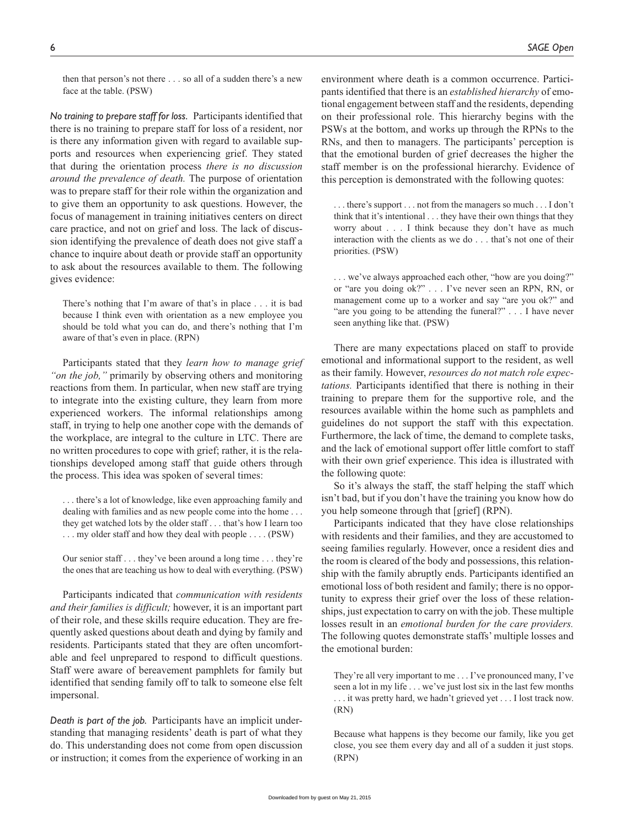then that person's not there . . . so all of a sudden there's a new face at the table. (PSW)

*No training to prepare staff for loss.* Participants identified that there is no training to prepare staff for loss of a resident, nor is there any information given with regard to available supports and resources when experiencing grief. They stated that during the orientation process *there is no discussion around the prevalence of death.* The purpose of orientation was to prepare staff for their role within the organization and to give them an opportunity to ask questions. However, the focus of management in training initiatives centers on direct care practice, and not on grief and loss. The lack of discussion identifying the prevalence of death does not give staff a chance to inquire about death or provide staff an opportunity to ask about the resources available to them. The following gives evidence:

There's nothing that I'm aware of that's in place . . . it is bad because I think even with orientation as a new employee you should be told what you can do, and there's nothing that I'm aware of that's even in place. (RPN)

Participants stated that they *learn how to manage grief "on the job,"* primarily by observing others and monitoring reactions from them. In particular, when new staff are trying to integrate into the existing culture, they learn from more experienced workers. The informal relationships among staff, in trying to help one another cope with the demands of the workplace, are integral to the culture in LTC. There are no written procedures to cope with grief; rather, it is the relationships developed among staff that guide others through the process. This idea was spoken of several times:

. . . there's a lot of knowledge, like even approaching family and dealing with families and as new people come into the home . . . they get watched lots by the older staff . . . that's how I learn too . . . my older staff and how they deal with people . . . . (PSW)

Our senior staff . . . they've been around a long time . . . they're the ones that are teaching us how to deal with everything. (PSW)

Participants indicated that *communication with residents and their families is difficult;* however, it is an important part of their role, and these skills require education. They are frequently asked questions about death and dying by family and residents. Participants stated that they are often uncomfortable and feel unprepared to respond to difficult questions. Staff were aware of bereavement pamphlets for family but identified that sending family off to talk to someone else felt impersonal.

*Death is part of the job.* Participants have an implicit understanding that managing residents' death is part of what they do. This understanding does not come from open discussion or instruction; it comes from the experience of working in an

environment where death is a common occurrence. Participants identified that there is an *established hierarchy* of emotional engagement between staff and the residents, depending on their professional role. This hierarchy begins with the PSWs at the bottom, and works up through the RPNs to the RNs, and then to managers. The participants' perception is that the emotional burden of grief decreases the higher the staff member is on the professional hierarchy. Evidence of this perception is demonstrated with the following quotes:

. . . there's support . . . not from the managers so much . . . I don't think that it's intentional . . . they have their own things that they worry about . . . I think because they don't have as much interaction with the clients as we do . . . that's not one of their priorities. (PSW)

. . . we've always approached each other, "how are you doing?" or "are you doing ok?" . . . I've never seen an RPN, RN, or management come up to a worker and say "are you ok?" and "are you going to be attending the funeral?" . . . I have never seen anything like that. (PSW)

There are many expectations placed on staff to provide emotional and informational support to the resident, as well as their family. However, *resources do not match role expectations.* Participants identified that there is nothing in their training to prepare them for the supportive role, and the resources available within the home such as pamphlets and guidelines do not support the staff with this expectation. Furthermore, the lack of time, the demand to complete tasks, and the lack of emotional support offer little comfort to staff with their own grief experience. This idea is illustrated with the following quote:

So it's always the staff, the staff helping the staff which isn't bad, but if you don't have the training you know how do you help someone through that [grief] (RPN).

Participants indicated that they have close relationships with residents and their families, and they are accustomed to seeing families regularly. However, once a resident dies and the room is cleared of the body and possessions, this relationship with the family abruptly ends. Participants identified an emotional loss of both resident and family; there is no opportunity to express their grief over the loss of these relationships, just expectation to carry on with the job. These multiple losses result in an *emotional burden for the care providers.* The following quotes demonstrate staffs' multiple losses and the emotional burden:

They're all very important to me . . . I've pronounced many, I've seen a lot in my life . . . we've just lost six in the last few months . . . it was pretty hard, we hadn't grieved yet . . . I lost track now. (RN)

Because what happens is they become our family, like you get close, you see them every day and all of a sudden it just stops. (RPN)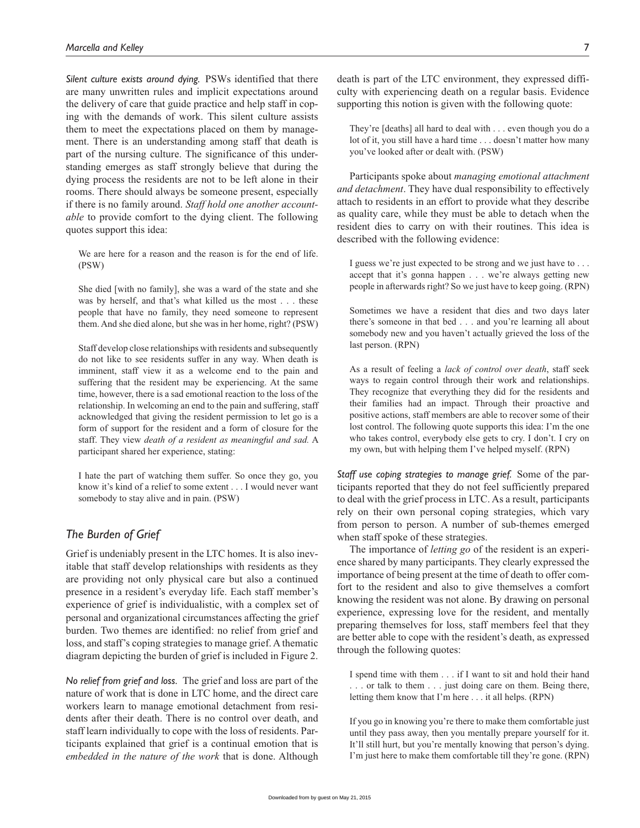*Silent culture exists around dying.* PSWs identified that there are many unwritten rules and implicit expectations around the delivery of care that guide practice and help staff in coping with the demands of work. This silent culture assists them to meet the expectations placed on them by management. There is an understanding among staff that death is part of the nursing culture. The significance of this understanding emerges as staff strongly believe that during the dying process the residents are not to be left alone in their rooms. There should always be someone present, especially if there is no family around. *Staff hold one another accountable* to provide comfort to the dying client. The following quotes support this idea:

We are here for a reason and the reason is for the end of life. (PSW)

She died [with no family], she was a ward of the state and she was by herself, and that's what killed us the most . . . these people that have no family, they need someone to represent them. And she died alone, but she was in her home, right? (PSW)

Staff develop close relationships with residents and subsequently do not like to see residents suffer in any way. When death is imminent, staff view it as a welcome end to the pain and suffering that the resident may be experiencing. At the same time, however, there is a sad emotional reaction to the loss of the relationship. In welcoming an end to the pain and suffering, staff acknowledged that giving the resident permission to let go is a form of support for the resident and a form of closure for the staff. They view *death of a resident as meaningful and sad.* A participant shared her experience, stating:

I hate the part of watching them suffer. So once they go, you know it's kind of a relief to some extent . . . I would never want somebody to stay alive and in pain. (PSW)

## *The Burden of Grief*

Grief is undeniably present in the LTC homes. It is also inevitable that staff develop relationships with residents as they are providing not only physical care but also a continued presence in a resident's everyday life. Each staff member's experience of grief is individualistic, with a complex set of personal and organizational circumstances affecting the grief burden. Two themes are identified: no relief from grief and loss, and staff's coping strategies to manage grief. A thematic diagram depicting the burden of grief is included in Figure 2.

*No relief from grief and loss.* The grief and loss are part of the nature of work that is done in LTC home, and the direct care workers learn to manage emotional detachment from residents after their death. There is no control over death, and staff learn individually to cope with the loss of residents. Participants explained that grief is a continual emotion that is *embedded in the nature of the work* that is done. Although death is part of the LTC environment, they expressed difficulty with experiencing death on a regular basis. Evidence supporting this notion is given with the following quote:

They're [deaths] all hard to deal with . . . even though you do a lot of it, you still have a hard time . . . doesn't matter how many you've looked after or dealt with. (PSW)

Participants spoke about *managing emotional attachment and detachment*. They have dual responsibility to effectively attach to residents in an effort to provide what they describe as quality care, while they must be able to detach when the resident dies to carry on with their routines. This idea is described with the following evidence:

I guess we're just expected to be strong and we just have to . . . accept that it's gonna happen . . . we're always getting new people in afterwards right? So we just have to keep going. (RPN)

Sometimes we have a resident that dies and two days later there's someone in that bed . . . and you're learning all about somebody new and you haven't actually grieved the loss of the last person. (RPN)

As a result of feeling a *lack of control over death*, staff seek ways to regain control through their work and relationships. They recognize that everything they did for the residents and their families had an impact. Through their proactive and positive actions, staff members are able to recover some of their lost control. The following quote supports this idea: I'm the one who takes control, everybody else gets to cry. I don't. I cry on my own, but with helping them I've helped myself. (RPN)

*Staff use coping strategies to manage grief.* Some of the participants reported that they do not feel sufficiently prepared to deal with the grief process in LTC. As a result, participants rely on their own personal coping strategies, which vary from person to person. A number of sub-themes emerged when staff spoke of these strategies.

The importance of *letting go* of the resident is an experience shared by many participants. They clearly expressed the importance of being present at the time of death to offer comfort to the resident and also to give themselves a comfort knowing the resident was not alone. By drawing on personal experience, expressing love for the resident, and mentally preparing themselves for loss, staff members feel that they are better able to cope with the resident's death, as expressed through the following quotes:

I spend time with them . . . if I want to sit and hold their hand . . . or talk to them . . . just doing care on them. Being there, letting them know that I'm here . . . it all helps. (RPN)

If you go in knowing you're there to make them comfortable just until they pass away, then you mentally prepare yourself for it. It'll still hurt, but you're mentally knowing that person's dying. I'm just here to make them comfortable till they're gone. (RPN)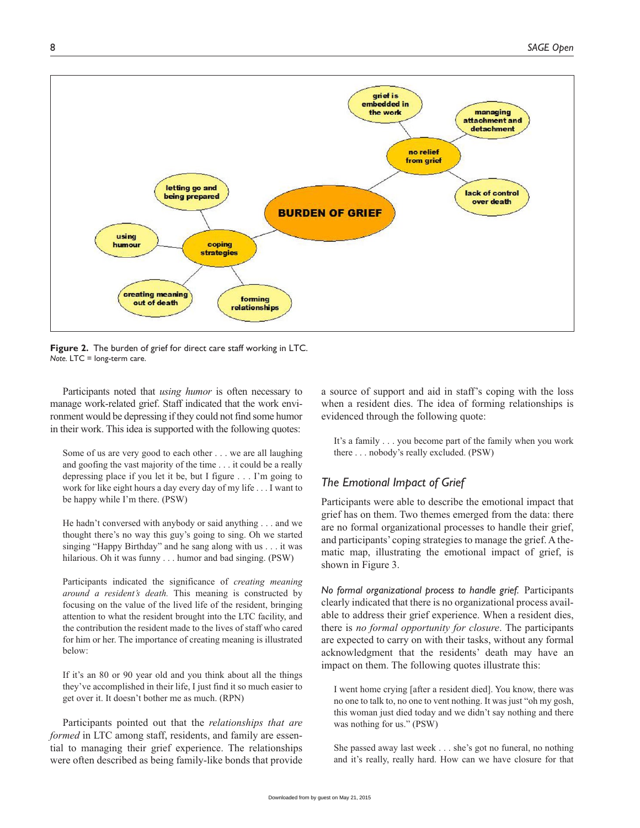

**Figure 2.** The burden of grief for direct care staff working in LTC. *Note.* LTC = long-term care.

Participants noted that *using humor* is often necessary to manage work-related grief. Staff indicated that the work environment would be depressing if they could not find some humor in their work. This idea is supported with the following quotes:

Some of us are very good to each other . . . we are all laughing and goofing the vast majority of the time . . . it could be a really depressing place if you let it be, but I figure . . . I'm going to work for like eight hours a day every day of my life . . . I want to be happy while I'm there. (PSW)

He hadn't conversed with anybody or said anything . . . and we thought there's no way this guy's going to sing. Oh we started singing "Happy Birthday" and he sang along with us . . . it was hilarious. Oh it was funny . . . humor and bad singing. (PSW)

Participants indicated the significance of *creating meaning around a resident's death.* This meaning is constructed by focusing on the value of the lived life of the resident, bringing attention to what the resident brought into the LTC facility, and the contribution the resident made to the lives of staff who cared for him or her. The importance of creating meaning is illustrated below:

If it's an 80 or 90 year old and you think about all the things they've accomplished in their life, I just find it so much easier to get over it. It doesn't bother me as much. (RPN)

Participants pointed out that the *relationships that are formed* in LTC among staff, residents, and family are essential to managing their grief experience. The relationships were often described as being family-like bonds that provide

a source of support and aid in staff's coping with the loss when a resident dies. The idea of forming relationships is evidenced through the following quote:

It's a family . . . you become part of the family when you work there . . . nobody's really excluded. (PSW)

# *The Emotional Impact of Grief*

Participants were able to describe the emotional impact that grief has on them. Two themes emerged from the data: there are no formal organizational processes to handle their grief, and participants' coping strategies to manage the grief. A thematic map, illustrating the emotional impact of grief, is shown in Figure 3.

*No formal organizational process to handle grief.* Participants clearly indicated that there is no organizational process available to address their grief experience. When a resident dies, there is *no formal opportunity for closure*. The participants are expected to carry on with their tasks, without any formal acknowledgment that the residents' death may have an impact on them. The following quotes illustrate this:

I went home crying [after a resident died]. You know, there was no one to talk to, no one to vent nothing. It was just "oh my gosh, this woman just died today and we didn't say nothing and there was nothing for us." (PSW)

She passed away last week . . . she's got no funeral, no nothing and it's really, really hard. How can we have closure for that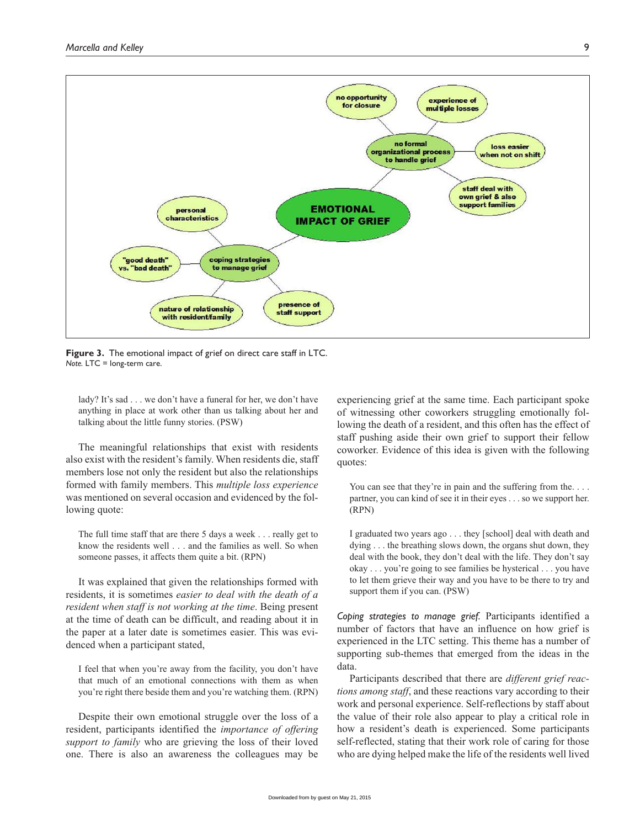

**Figure 3.** The emotional impact of grief on direct care staff in LTC. *Note.* LTC = long-term care.

lady? It's sad . . . we don't have a funeral for her, we don't have anything in place at work other than us talking about her and talking about the little funny stories. (PSW)

The meaningful relationships that exist with residents also exist with the resident's family. When residents die, staff members lose not only the resident but also the relationships formed with family members. This *multiple loss experience* was mentioned on several occasion and evidenced by the following quote:

The full time staff that are there 5 days a week . . . really get to know the residents well . . . and the families as well. So when someone passes, it affects them quite a bit. (RPN)

It was explained that given the relationships formed with residents, it is sometimes *easier to deal with the death of a resident when staff is not working at the time*. Being present at the time of death can be difficult, and reading about it in the paper at a later date is sometimes easier. This was evidenced when a participant stated,

I feel that when you're away from the facility, you don't have that much of an emotional connections with them as when you're right there beside them and you're watching them. (RPN)

Despite their own emotional struggle over the loss of a resident, participants identified the *importance of offering support to family* who are grieving the loss of their loved one. There is also an awareness the colleagues may be

experiencing grief at the same time. Each participant spoke of witnessing other coworkers struggling emotionally following the death of a resident, and this often has the effect of staff pushing aside their own grief to support their fellow coworker. Evidence of this idea is given with the following quotes:

You can see that they're in pain and the suffering from the.... partner, you can kind of see it in their eyes . . . so we support her. (RPN)

I graduated two years ago . . . they [school] deal with death and dying . . . the breathing slows down, the organs shut down, they deal with the book, they don't deal with the life. They don't say okay . . . you're going to see families be hysterical . . . you have to let them grieve their way and you have to be there to try and support them if you can. (PSW)

*Coping strategies to manage grief.* Participants identified a number of factors that have an influence on how grief is experienced in the LTC setting. This theme has a number of supporting sub-themes that emerged from the ideas in the data.

Participants described that there are *different grief reactions among staff*, and these reactions vary according to their work and personal experience. Self-reflections by staff about the value of their role also appear to play a critical role in how a resident's death is experienced. Some participants self-reflected, stating that their work role of caring for those who are dying helped make the life of the residents well lived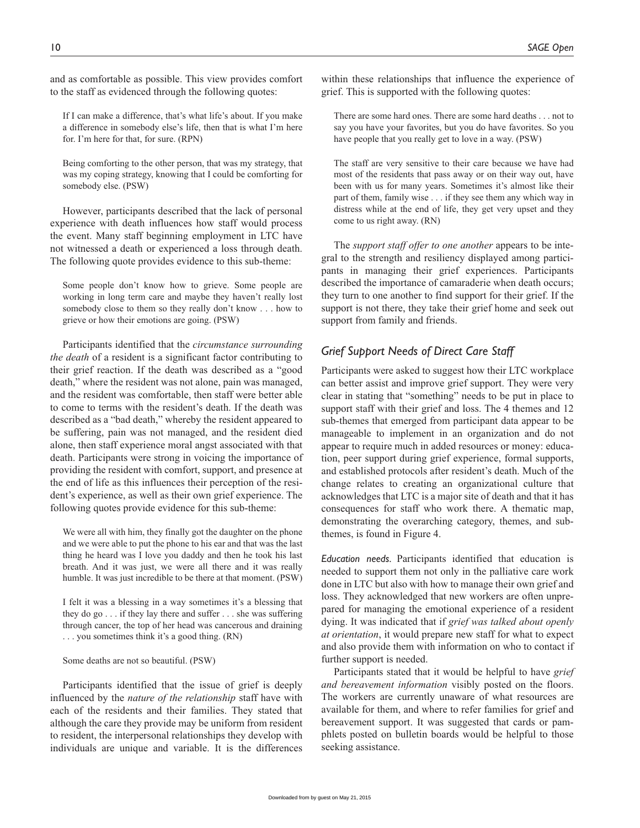and as comfortable as possible. This view provides comfort to the staff as evidenced through the following quotes:

If I can make a difference, that's what life's about. If you make a difference in somebody else's life, then that is what I'm here for. I'm here for that, for sure. (RPN)

Being comforting to the other person, that was my strategy, that was my coping strategy, knowing that I could be comforting for somebody else. (PSW)

However, participants described that the lack of personal experience with death influences how staff would process the event. Many staff beginning employment in LTC have not witnessed a death or experienced a loss through death. The following quote provides evidence to this sub-theme:

Some people don't know how to grieve. Some people are working in long term care and maybe they haven't really lost somebody close to them so they really don't know . . . how to grieve or how their emotions are going. (PSW)

Participants identified that the *circumstance surrounding the death* of a resident is a significant factor contributing to their grief reaction. If the death was described as a "good death," where the resident was not alone, pain was managed, and the resident was comfortable, then staff were better able to come to terms with the resident's death. If the death was described as a "bad death," whereby the resident appeared to be suffering, pain was not managed, and the resident died alone, then staff experience moral angst associated with that death. Participants were strong in voicing the importance of providing the resident with comfort, support, and presence at the end of life as this influences their perception of the resident's experience, as well as their own grief experience. The following quotes provide evidence for this sub-theme:

We were all with him, they finally got the daughter on the phone and we were able to put the phone to his ear and that was the last thing he heard was I love you daddy and then he took his last breath. And it was just, we were all there and it was really humble. It was just incredible to be there at that moment. (PSW)

I felt it was a blessing in a way sometimes it's a blessing that they do go . . . if they lay there and suffer . . . she was suffering through cancer, the top of her head was cancerous and draining . . . you sometimes think it's a good thing. (RN)

Some deaths are not so beautiful. (PSW)

Participants identified that the issue of grief is deeply influenced by the *nature of the relationship* staff have with each of the residents and their families. They stated that although the care they provide may be uniform from resident to resident, the interpersonal relationships they develop with individuals are unique and variable. It is the differences

within these relationships that influence the experience of grief. This is supported with the following quotes:

There are some hard ones. There are some hard deaths . . . not to say you have your favorites, but you do have favorites. So you have people that you really get to love in a way. (PSW)

The staff are very sensitive to their care because we have had most of the residents that pass away or on their way out, have been with us for many years. Sometimes it's almost like their part of them, family wise . . . if they see them any which way in distress while at the end of life, they get very upset and they come to us right away. (RN)

The *support staff offer to one another* appears to be integral to the strength and resiliency displayed among participants in managing their grief experiences. Participants described the importance of camaraderie when death occurs; they turn to one another to find support for their grief. If the support is not there, they take their grief home and seek out support from family and friends.

## *Grief Support Needs of Direct Care Staff*

Participants were asked to suggest how their LTC workplace can better assist and improve grief support. They were very clear in stating that "something" needs to be put in place to support staff with their grief and loss. The 4 themes and 12 sub-themes that emerged from participant data appear to be manageable to implement in an organization and do not appear to require much in added resources or money: education, peer support during grief experience, formal supports, and established protocols after resident's death. Much of the change relates to creating an organizational culture that acknowledges that LTC is a major site of death and that it has consequences for staff who work there. A thematic map, demonstrating the overarching category, themes, and subthemes, is found in Figure 4.

*Education needs.* Participants identified that education is needed to support them not only in the palliative care work done in LTC but also with how to manage their own grief and loss. They acknowledged that new workers are often unprepared for managing the emotional experience of a resident dying. It was indicated that if *grief was talked about openly at orientation*, it would prepare new staff for what to expect and also provide them with information on who to contact if further support is needed.

Participants stated that it would be helpful to have *grief and bereavement information* visibly posted on the floors. The workers are currently unaware of what resources are available for them, and where to refer families for grief and bereavement support. It was suggested that cards or pamphlets posted on bulletin boards would be helpful to those seeking assistance.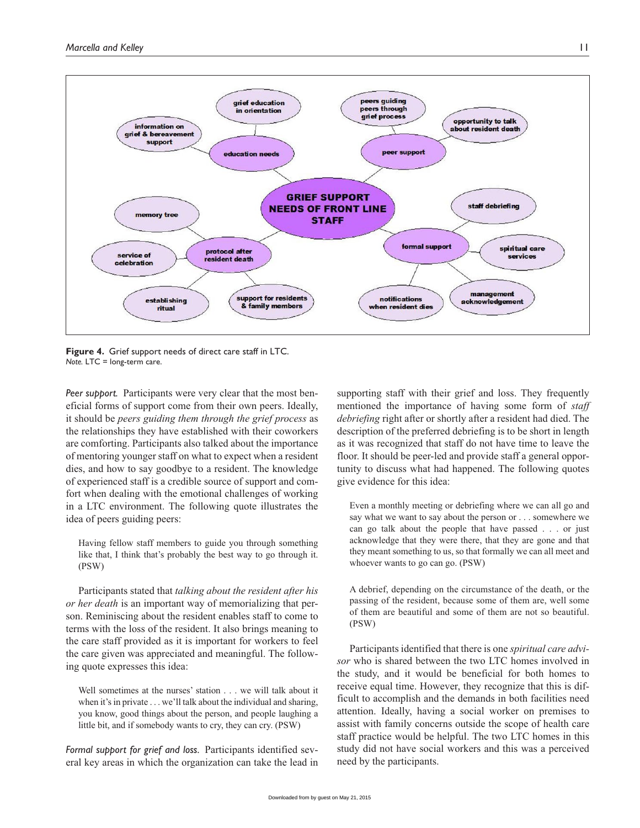

**Figure 4.** Grief support needs of direct care staff in LTC. *Note.* LTC = long-term care.

*Peer support.* Participants were very clear that the most beneficial forms of support come from their own peers. Ideally, it should be *peers guiding them through the grief process* as the relationships they have established with their coworkers are comforting. Participants also talked about the importance of mentoring younger staff on what to expect when a resident dies, and how to say goodbye to a resident. The knowledge of experienced staff is a credible source of support and comfort when dealing with the emotional challenges of working in a LTC environment. The following quote illustrates the idea of peers guiding peers:

Having fellow staff members to guide you through something like that, I think that's probably the best way to go through it. (PSW)

Participants stated that *talking about the resident after his or her death* is an important way of memorializing that person. Reminiscing about the resident enables staff to come to terms with the loss of the resident. It also brings meaning to the care staff provided as it is important for workers to feel the care given was appreciated and meaningful. The following quote expresses this idea:

Well sometimes at the nurses' station . . . we will talk about it when it's in private . . . we'll talk about the individual and sharing, you know, good things about the person, and people laughing a little bit, and if somebody wants to cry, they can cry. (PSW)

*Formal support for grief and loss.* Participants identified several key areas in which the organization can take the lead in supporting staff with their grief and loss. They frequently mentioned the importance of having some form of *staff debriefing* right after or shortly after a resident had died. The description of the preferred debriefing is to be short in length as it was recognized that staff do not have time to leave the floor. It should be peer-led and provide staff a general opportunity to discuss what had happened. The following quotes give evidence for this idea:

Even a monthly meeting or debriefing where we can all go and say what we want to say about the person or . . . somewhere we can go talk about the people that have passed . . . or just acknowledge that they were there, that they are gone and that they meant something to us, so that formally we can all meet and whoever wants to go can go. (PSW)

A debrief, depending on the circumstance of the death, or the passing of the resident, because some of them are, well some of them are beautiful and some of them are not so beautiful. (PSW)

Participants identified that there is one *spiritual care advisor* who is shared between the two LTC homes involved in the study, and it would be beneficial for both homes to receive equal time. However, they recognize that this is difficult to accomplish and the demands in both facilities need attention. Ideally, having a social worker on premises to assist with family concerns outside the scope of health care staff practice would be helpful. The two LTC homes in this study did not have social workers and this was a perceived need by the participants.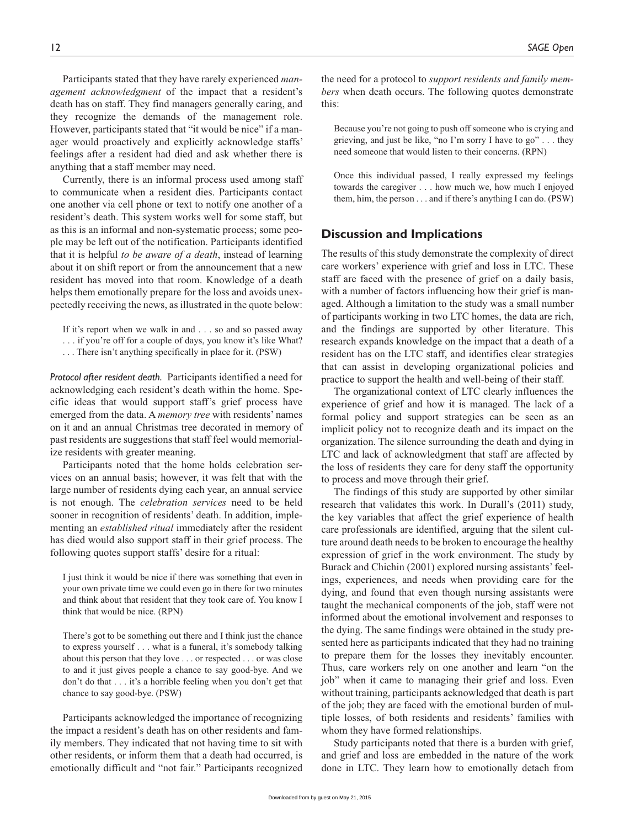Participants stated that they have rarely experienced *management acknowledgment* of the impact that a resident's death has on staff. They find managers generally caring, and they recognize the demands of the management role. However, participants stated that "it would be nice" if a manager would proactively and explicitly acknowledge staffs' feelings after a resident had died and ask whether there is anything that a staff member may need.

Currently, there is an informal process used among staff to communicate when a resident dies. Participants contact one another via cell phone or text to notify one another of a resident's death. This system works well for some staff, but as this is an informal and non-systematic process; some people may be left out of the notification. Participants identified that it is helpful *to be aware of a death*, instead of learning about it on shift report or from the announcement that a new resident has moved into that room. Knowledge of a death helps them emotionally prepare for the loss and avoids unexpectedly receiving the news, as illustrated in the quote below:

If it's report when we walk in and . . . so and so passed away

- . . . if you're off for a couple of days, you know it's like What?
- . . . There isn't anything specifically in place for it. (PSW)

*Protocol after resident death.* Participants identified a need for acknowledging each resident's death within the home. Specific ideas that would support staff's grief process have emerged from the data. A *memory tree* with residents' names on it and an annual Christmas tree decorated in memory of past residents are suggestions that staff feel would memorialize residents with greater meaning.

Participants noted that the home holds celebration services on an annual basis; however, it was felt that with the large number of residents dying each year, an annual service is not enough. The *celebration services* need to be held sooner in recognition of residents' death. In addition, implementing an *established ritual* immediately after the resident has died would also support staff in their grief process. The following quotes support staffs' desire for a ritual:

I just think it would be nice if there was something that even in your own private time we could even go in there for two minutes and think about that resident that they took care of. You know I think that would be nice. (RPN)

There's got to be something out there and I think just the chance to express yourself . . . what is a funeral, it's somebody talking about this person that they love . . . or respected . . . or was close to and it just gives people a chance to say good-bye. And we don't do that . . . it's a horrible feeling when you don't get that chance to say good-bye. (PSW)

Participants acknowledged the importance of recognizing the impact a resident's death has on other residents and family members. They indicated that not having time to sit with other residents, or inform them that a death had occurred, is emotionally difficult and "not fair." Participants recognized

the need for a protocol to *support residents and family members* when death occurs. The following quotes demonstrate this:

Because you're not going to push off someone who is crying and grieving, and just be like, "no I'm sorry I have to go" . . . they need someone that would listen to their concerns. (RPN)

Once this individual passed, I really expressed my feelings towards the caregiver . . . how much we, how much I enjoyed them, him, the person . . . and if there's anything I can do. (PSW)

### **Discussion and Implications**

The results of this study demonstrate the complexity of direct care workers' experience with grief and loss in LTC. These staff are faced with the presence of grief on a daily basis, with a number of factors influencing how their grief is managed. Although a limitation to the study was a small number of participants working in two LTC homes, the data are rich, and the findings are supported by other literature. This research expands knowledge on the impact that a death of a resident has on the LTC staff, and identifies clear strategies that can assist in developing organizational policies and practice to support the health and well-being of their staff.

The organizational context of LTC clearly influences the experience of grief and how it is managed. The lack of a formal policy and support strategies can be seen as an implicit policy not to recognize death and its impact on the organization. The silence surrounding the death and dying in LTC and lack of acknowledgment that staff are affected by the loss of residents they care for deny staff the opportunity to process and move through their grief.

The findings of this study are supported by other similar research that validates this work. In Durall's (2011) study, the key variables that affect the grief experience of health care professionals are identified, arguing that the silent culture around death needs to be broken to encourage the healthy expression of grief in the work environment. The study by Burack and Chichin (2001) explored nursing assistants' feelings, experiences, and needs when providing care for the dying, and found that even though nursing assistants were taught the mechanical components of the job, staff were not informed about the emotional involvement and responses to the dying. The same findings were obtained in the study presented here as participants indicated that they had no training to prepare them for the losses they inevitably encounter. Thus, care workers rely on one another and learn "on the job" when it came to managing their grief and loss. Even without training, participants acknowledged that death is part of the job; they are faced with the emotional burden of multiple losses, of both residents and residents' families with whom they have formed relationships.

Study participants noted that there is a burden with grief, and grief and loss are embedded in the nature of the work done in LTC. They learn how to emotionally detach from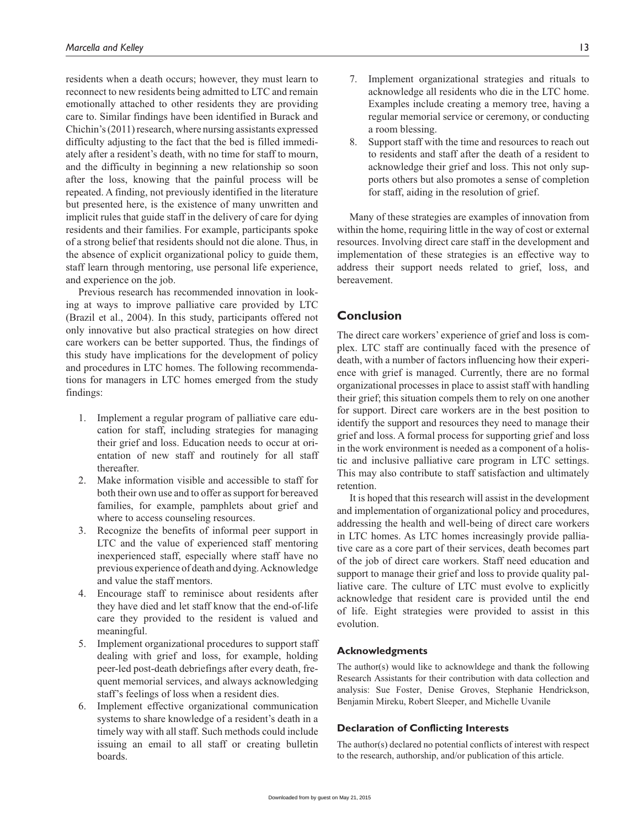residents when a death occurs; however, they must learn to reconnect to new residents being admitted to LTC and remain emotionally attached to other residents they are providing care to. Similar findings have been identified in Burack and Chichin's (2011) research, where nursing assistants expressed difficulty adjusting to the fact that the bed is filled immediately after a resident's death, with no time for staff to mourn, and the difficulty in beginning a new relationship so soon after the loss, knowing that the painful process will be repeated. A finding, not previously identified in the literature but presented here, is the existence of many unwritten and implicit rules that guide staff in the delivery of care for dying residents and their families. For example, participants spoke of a strong belief that residents should not die alone. Thus, in the absence of explicit organizational policy to guide them, staff learn through mentoring, use personal life experience, and experience on the job.

Previous research has recommended innovation in looking at ways to improve palliative care provided by LTC (Brazil et al., 2004). In this study, participants offered not only innovative but also practical strategies on how direct care workers can be better supported. Thus, the findings of this study have implications for the development of policy and procedures in LTC homes. The following recommendations for managers in LTC homes emerged from the study findings:

- 1. Implement a regular program of palliative care education for staff, including strategies for managing their grief and loss. Education needs to occur at orientation of new staff and routinely for all staff thereafter.
- 2. Make information visible and accessible to staff for both their own use and to offer as support for bereaved families, for example, pamphlets about grief and where to access counseling resources.
- 3. Recognize the benefits of informal peer support in LTC and the value of experienced staff mentoring inexperienced staff, especially where staff have no previous experience of death and dying. Acknowledge and value the staff mentors.
- 4. Encourage staff to reminisce about residents after they have died and let staff know that the end-of-life care they provided to the resident is valued and meaningful.
- 5. Implement organizational procedures to support staff dealing with grief and loss, for example, holding peer-led post-death debriefings after every death, frequent memorial services, and always acknowledging staff's feelings of loss when a resident dies.
- 6. Implement effective organizational communication systems to share knowledge of a resident's death in a timely way with all staff. Such methods could include issuing an email to all staff or creating bulletin boards.
- 7. Implement organizational strategies and rituals to acknowledge all residents who die in the LTC home. Examples include creating a memory tree, having a regular memorial service or ceremony, or conducting a room blessing.
- 8. Support staff with the time and resources to reach out to residents and staff after the death of a resident to acknowledge their grief and loss. This not only supports others but also promotes a sense of completion for staff, aiding in the resolution of grief.

Many of these strategies are examples of innovation from within the home, requiring little in the way of cost or external resources. Involving direct care staff in the development and implementation of these strategies is an effective way to address their support needs related to grief, loss, and bereavement.

# **Conclusion**

The direct care workers' experience of grief and loss is complex. LTC staff are continually faced with the presence of death, with a number of factors influencing how their experience with grief is managed. Currently, there are no formal organizational processes in place to assist staff with handling their grief; this situation compels them to rely on one another for support. Direct care workers are in the best position to identify the support and resources they need to manage their grief and loss. A formal process for supporting grief and loss in the work environment is needed as a component of a holistic and inclusive palliative care program in LTC settings. This may also contribute to staff satisfaction and ultimately retention.

It is hoped that this research will assist in the development and implementation of organizational policy and procedures, addressing the health and well-being of direct care workers in LTC homes. As LTC homes increasingly provide palliative care as a core part of their services, death becomes part of the job of direct care workers. Staff need education and support to manage their grief and loss to provide quality palliative care. The culture of LTC must evolve to explicitly acknowledge that resident care is provided until the end of life. Eight strategies were provided to assist in this evolution.

#### **Acknowledgments**

The author(s) would like to acknowldege and thank the following Research Assistants for their contribution with data collection and analysis: Sue Foster, Denise Groves, Stephanie Hendrickson, Benjamin Mireku, Robert Sleeper, and Michelle Uvanile

#### **Declaration of Conflicting Interests**

The author(s) declared no potential conflicts of interest with respect to the research, authorship, and/or publication of this article.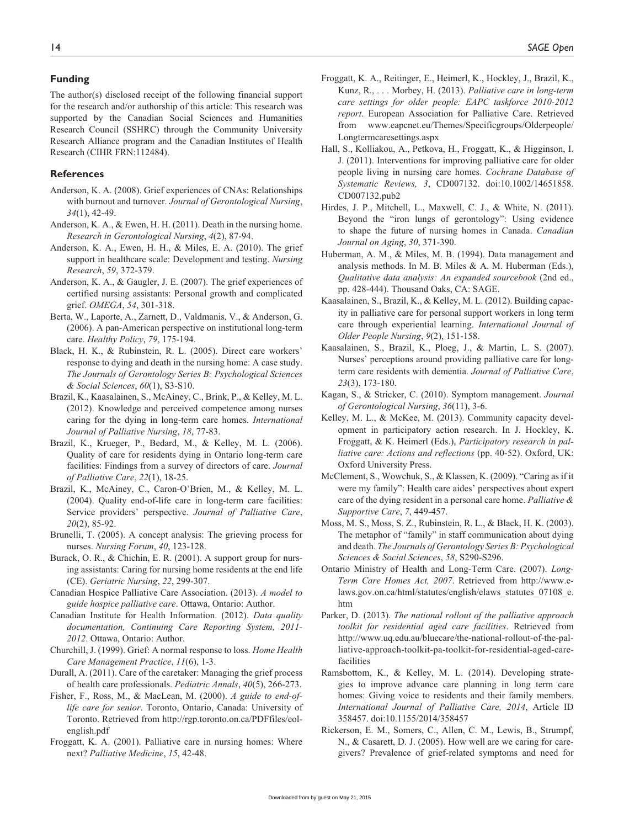#### **Funding**

The author(s) disclosed receipt of the following financial support for the research and/or authorship of this article: This research was supported by the Canadian Social Sciences and Humanities Research Council (SSHRC) through the Community University Research Alliance program and the Canadian Institutes of Health Research (CIHR FRN:112484).

#### **References**

- Anderson, K. A. (2008). Grief experiences of CNAs: Relationships with burnout and turnover. *Journal of Gerontological Nursing*, *34*(1), 42-49.
- Anderson, K. A., & Ewen, H. H. (2011). Death in the nursing home. *Research in Gerontological Nursing*, *4*(2), 87-94.
- Anderson, K. A., Ewen, H. H., & Miles, E. A. (2010). The grief support in healthcare scale: Development and testing. *Nursing Research*, *59*, 372-379.
- Anderson, K. A., & Gaugler, J. E. (2007). The grief experiences of certified nursing assistants: Personal growth and complicated grief. *OMEGA*, *54*, 301-318.
- Berta, W., Laporte, A., Zarnett, D., Valdmanis, V., & Anderson, G. (2006). A pan-American perspective on institutional long-term care. *Healthy Policy*, *79*, 175-194.
- Black, H. K., & Rubinstein, R. L. (2005). Direct care workers' response to dying and death in the nursing home: A case study. *The Journals of Gerontology Series B: Psychological Sciences & Social Sciences*, *60*(1), S3-S10.
- Brazil, K., Kaasalainen, S., McAiney, C., Brink, P., & Kelley, M. L. (2012). Knowledge and perceived competence among nurses caring for the dying in long-term care homes. *International Journal of Palliative Nursing*, *18*, 77-83.
- Brazil, K., Krueger, P., Bedard, M., & Kelley, M. L. (2006). Quality of care for residents dying in Ontario long-term care facilities: Findings from a survey of directors of care. *Journal of Palliative Care*, *22*(1), 18-25.
- Brazil, K., McAiney, C., Caron-O'Brien, M., & Kelley, M. L. (2004). Quality end-of-life care in long-term care facilities: Service providers' perspective. *Journal of Palliative Care*, *20*(2), 85-92.
- Brunelli, T. (2005). A concept analysis: The grieving process for nurses. *Nursing Forum*, *40*, 123-128.
- Burack, O. R., & Chichin, E. R. (2001). A support group for nursing assistants: Caring for nursing home residents at the end life (CE). *Geriatric Nursing*, *22*, 299-307.
- Canadian Hospice Palliative Care Association. (2013). *A model to guide hospice palliative care*. Ottawa, Ontario: Author.
- Canadian Institute for Health Information. (2012). *Data quality documentation, Continuing Care Reporting System, 2011- 2012*. Ottawa, Ontario: Author.
- Churchill, J. (1999). Grief: A normal response to loss. *Home Health Care Management Practice*, *11*(6), 1-3.
- Durall, A. (2011). Care of the caretaker: Managing the grief process of health care professionals. *Pediatric Annals*, *40*(5), 266-273.
- Fisher, F., Ross, M., & MacLean, M. (2000). *A guide to end-oflife care for senior*. Toronto, Ontario, Canada: University of Toronto. Retrieved from [http://rgp.toronto.on.ca/PDFfiles/eol](http://rgp.toronto.on.ca/PDFfiles/eol-english.pdf)[english.pdf](http://rgp.toronto.on.ca/PDFfiles/eol-english.pdf)
- Froggatt, K. A. (2001). Palliative care in nursing homes: Where next? *Palliative Medicine*, *15*, 42-48.
- Froggatt, K. A., Reitinger, E., Heimerl, K., Hockley, J., Brazil, K., Kunz, R., . . . Morbey, H. (2013). *Palliative care in long-term care settings for older people: EAPC taskforce 2010-2012 report*. European Association for Palliative Care. Retrieved from [www.eapcnet.eu/Themes/Specificgroups/Olderpeople/](www.eapcnet.eu/Themes/Specificgroups/Olderpeople/Longtermcaresettings.aspx) [Longtermcaresettings.aspx](www.eapcnet.eu/Themes/Specificgroups/Olderpeople/Longtermcaresettings.aspx)
- Hall, S., Kolliakou, A., Petkova, H., Froggatt, K., & Higginson, I. J. (2011). Interventions for improving palliative care for older people living in nursing care homes. *Cochrane Database of Systematic Reviews, 3*, CD007132. doi:10.1002/14651858. CD007132.pub2
- Hirdes, J. P., Mitchell, L., Maxwell, C. J., & White, N. (2011). Beyond the "iron lungs of gerontology": Using evidence to shape the future of nursing homes in Canada. *Canadian Journal on Aging*, *30*, 371-390.
- Huberman, A. M., & Miles, M. B. (1994). Data management and analysis methods. In M. B. Miles & A. M. Huberman (Eds.), *Qualitative data analysis: An expanded sourcebook* (2nd ed., pp. 428-444). Thousand Oaks, CA: SAGE.
- Kaasalainen, S., Brazil, K., & Kelley, M. L. (2012). Building capacity in palliative care for personal support workers in long term care through experiential learning. *International Journal of Older People Nursing*, *9*(2), 151-158.
- Kaasalainen, S., Brazil, K., Ploeg, J., & Martin, L. S. (2007). Nurses' perceptions around providing palliative care for longterm care residents with dementia. *Journal of Palliative Care*, *23*(3), 173-180.
- Kagan, S., & Stricker, C. (2010). Symptom management. *Journal of Gerontological Nursing*, *36*(11), 3-6.
- Kelley, M. L., & McKee, M. (2013). Community capacity development in participatory action research. In J. Hockley, K. Froggatt, & K. Heimerl (Eds.), *Participatory research in palliative care: Actions and reflections* (pp. 40-52). Oxford, UK: Oxford University Press.
- McClement, S., Wowchuk, S., & Klassen, K. (2009). "Caring as if it were my family": Health care aides' perspectives about expert care of the dying resident in a personal care home. *Palliative & Supportive Care*, *7*, 449-457.
- Moss, M. S., Moss, S. Z., Rubinstein, R. L., & Black, H. K. (2003). The metaphor of "family" in staff communication about dying and death. *The Journals of Gerontology Series B: Psychological Sciences & Social Sciences*, *58*, S290-S296.
- Ontario Ministry of Health and Long-Term Care. (2007). *Long-Term Care Homes Act, 2007*. Retrieved from [http://www.e](http://www.e-laws.gov.on.ca/html/statutes/english/elaws_statutes_07108_e.htm)[laws.gov.on.ca/html/statutes/english/elaws\\_statutes\\_07108\\_e.](http://www.e-laws.gov.on.ca/html/statutes/english/elaws_statutes_07108_e.htm) [htm](http://www.e-laws.gov.on.ca/html/statutes/english/elaws_statutes_07108_e.htm)
- Parker, D. (2013). *The national rollout of the palliative approach toolkit for residential aged care facilities*. Retrieved from [http://www.uq.edu.au/bluecare/the-national-rollout-of-the-pal](http://www.uq.edu.au/bluecare/the-national-rollout-of-the-palliative-approach-toolkit-pa-toolkit-for-residential-aged-care-facilities)[liative-approach-toolkit-pa-toolkit-for-residential-aged-care](http://www.uq.edu.au/bluecare/the-national-rollout-of-the-palliative-approach-toolkit-pa-toolkit-for-residential-aged-care-facilities)[facilities](http://www.uq.edu.au/bluecare/the-national-rollout-of-the-palliative-approach-toolkit-pa-toolkit-for-residential-aged-care-facilities)
- Ramsbottom, K., & Kelley, M. L. (2014). Developing strategies to improve advance care planning in long term care homes: Giving voice to residents and their family members. *International Journal of Palliative Care, 2014*, Article ID 358457. doi:10.1155/2014/358457
- Rickerson, E. M., Somers, C., Allen, C. M., Lewis, B., Strumpf, N., & Casarett, D. J. (2005). How well are we caring for caregivers? Prevalence of grief-related symptoms and need for